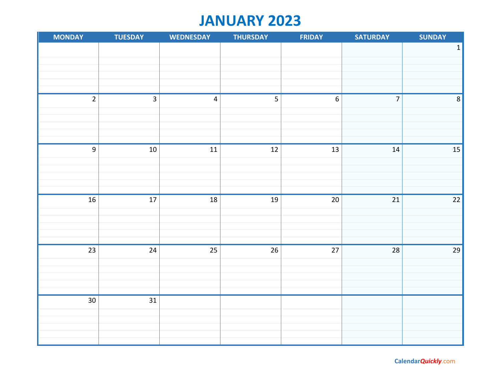# **JANUARY 2023**

| <b>MONDAY</b>   | <b>TUESDAY</b>  | <b>WEDNESDAY</b>        | <b>THURSDAY</b> | <b>FRIDAY</b>    | <b>SATURDAY</b> | <b>SUNDAY</b>   |
|-----------------|-----------------|-------------------------|-----------------|------------------|-----------------|-----------------|
|                 |                 |                         |                 |                  |                 | $\mathbf 1$     |
|                 |                 |                         |                 |                  |                 |                 |
|                 |                 |                         |                 |                  |                 |                 |
|                 |                 |                         |                 |                  |                 |                 |
|                 |                 |                         |                 |                  |                 |                 |
| $\overline{2}$  | $\overline{3}$  | $\overline{\mathbf{4}}$ | 5               | $\boldsymbol{6}$ | $\overline{7}$  | $\,8\,$         |
|                 |                 |                         |                 |                  |                 |                 |
|                 |                 |                         |                 |                  |                 |                 |
|                 |                 |                         |                 |                  |                 |                 |
|                 |                 |                         |                 |                  |                 |                 |
| $\overline{9}$  | $10\,$          | 11                      | 12              | $13\,$           | $14\,$          | 15              |
|                 |                 |                         |                 |                  |                 |                 |
|                 |                 |                         |                 |                  |                 |                 |
|                 |                 |                         |                 |                  |                 |                 |
|                 |                 |                         |                 |                  |                 |                 |
| $\overline{16}$ | $17\,$          | $\overline{18}$         | $\overline{19}$ | $20\,$           | $21\,$          | $\overline{22}$ |
|                 |                 |                         |                 |                  |                 |                 |
|                 |                 |                         |                 |                  |                 |                 |
|                 |                 |                         |                 |                  |                 |                 |
|                 |                 |                         |                 |                  |                 |                 |
| $\overline{23}$ | $24\,$          | 25                      | $26\,$          | $27$             | $28\,$          | 29              |
|                 |                 |                         |                 |                  |                 |                 |
|                 |                 |                         |                 |                  |                 |                 |
|                 |                 |                         |                 |                  |                 |                 |
| $\overline{30}$ | $\overline{31}$ |                         |                 |                  |                 |                 |
|                 |                 |                         |                 |                  |                 |                 |
|                 |                 |                         |                 |                  |                 |                 |
|                 |                 |                         |                 |                  |                 |                 |
|                 |                 |                         |                 |                  |                 |                 |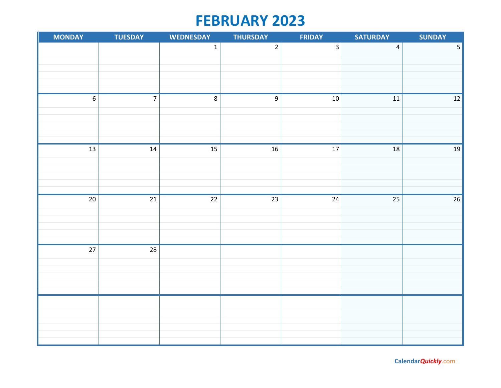# **FEBRUARY 2023**

| <b>MONDAY</b>   | <b>TUESDAY</b>  | <b>WEDNESDAY</b> | <b>THURSDAY</b>  | <b>FRIDAY</b>   | <b>SATURDAY</b>         | <b>SUNDAY</b>   |
|-----------------|-----------------|------------------|------------------|-----------------|-------------------------|-----------------|
|                 |                 | $\mathbf 1$      | $\overline{2}$   | $\overline{3}$  | $\overline{\mathbf{4}}$ | $\overline{5}$  |
|                 |                 |                  |                  |                 |                         |                 |
|                 |                 |                  |                  |                 |                         |                 |
|                 |                 |                  |                  |                 |                         |                 |
|                 |                 |                  |                  |                 |                         |                 |
| $\overline{6}$  | $\overline{7}$  | $\overline{8}$   | $\boldsymbol{9}$ | $10\,$          | $11\,$                  | $\overline{12}$ |
|                 |                 |                  |                  |                 |                         |                 |
|                 |                 |                  |                  |                 |                         |                 |
|                 |                 |                  |                  |                 |                         |                 |
| $\overline{13}$ | $14\,$          | $\overline{15}$  | $\overline{16}$  | $\overline{17}$ | 18                      | $19\,$          |
|                 |                 |                  |                  |                 |                         |                 |
|                 |                 |                  |                  |                 |                         |                 |
|                 |                 |                  |                  |                 |                         |                 |
|                 |                 |                  |                  |                 |                         |                 |
| $\overline{20}$ | $21\,$          | $22\,$           | $\overline{23}$  | 24              | 25                      | $\overline{26}$ |
|                 |                 |                  |                  |                 |                         |                 |
|                 |                 |                  |                  |                 |                         |                 |
|                 |                 |                  |                  |                 |                         |                 |
| $\overline{27}$ | $\overline{28}$ |                  |                  |                 |                         |                 |
|                 |                 |                  |                  |                 |                         |                 |
|                 |                 |                  |                  |                 |                         |                 |
|                 |                 |                  |                  |                 |                         |                 |
|                 |                 |                  |                  |                 |                         |                 |
|                 |                 |                  |                  |                 |                         |                 |
|                 |                 |                  |                  |                 |                         |                 |
|                 |                 |                  |                  |                 |                         |                 |
|                 |                 |                  |                  |                 |                         |                 |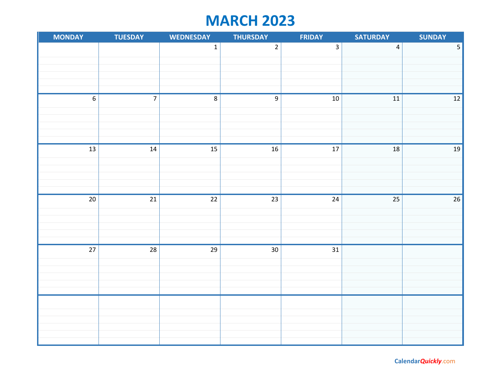# **MARCH 2023**

| <b>MONDAY</b>   | <b>TUESDAY</b>          | <b>WEDNESDAY</b> | <b>THURSDAY</b> | <b>FRIDAY</b>   | <b>SATURDAY</b>         | <b>SUNDAY</b>           |
|-----------------|-------------------------|------------------|-----------------|-----------------|-------------------------|-------------------------|
|                 |                         | $\mathbf 1$      | $\overline{2}$  | $\overline{3}$  | $\overline{\mathbf{4}}$ | $\overline{\mathbf{5}}$ |
|                 |                         |                  |                 |                 |                         |                         |
|                 |                         |                  |                 |                 |                         |                         |
|                 |                         |                  |                 |                 |                         |                         |
| $\overline{6}$  | $\overline{\mathbf{7}}$ | $\overline{8}$   | $\overline{9}$  | $10\,$          | $11\,$                  | $\boxed{12}$            |
|                 |                         |                  |                 |                 |                         |                         |
|                 |                         |                  |                 |                 |                         |                         |
|                 |                         |                  |                 |                 |                         |                         |
|                 |                         |                  |                 |                 |                         |                         |
| $\overline{13}$ | $14\,$                  | $\overline{15}$  | $\overline{16}$ | $\overline{17}$ | 18                      | 19                      |
|                 |                         |                  |                 |                 |                         |                         |
|                 |                         |                  |                 |                 |                         |                         |
|                 |                         |                  |                 |                 |                         |                         |
| $\overline{20}$ | $\overline{21}$         | $\overline{22}$  | $\overline{23}$ | $\overline{24}$ | 25                      | $\overline{26}$         |
|                 |                         |                  |                 |                 |                         |                         |
|                 |                         |                  |                 |                 |                         |                         |
|                 |                         |                  |                 |                 |                         |                         |
|                 |                         |                  |                 |                 |                         |                         |
| $\overline{27}$ | $\overline{28}$         | $\overline{29}$  | $\overline{30}$ | $\overline{31}$ |                         |                         |
|                 |                         |                  |                 |                 |                         |                         |
|                 |                         |                  |                 |                 |                         |                         |
|                 |                         |                  |                 |                 |                         |                         |
|                 |                         |                  |                 |                 |                         |                         |
|                 |                         |                  |                 |                 |                         |                         |
|                 |                         |                  |                 |                 |                         |                         |
|                 |                         |                  |                 |                 |                         |                         |
|                 |                         |                  |                 |                 |                         |                         |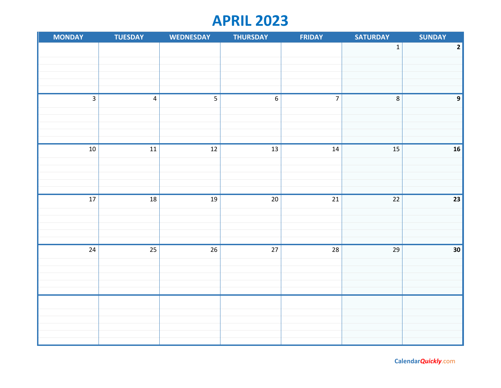## **APRIL 2023**

| <b>MONDAY</b>   | <b>TUESDAY</b>          | <b>WEDNESDAY</b> | <b>THURSDAY</b>  | <b>FRIDAY</b>  | <b>SATURDAY</b> | <b>SUNDAY</b>           |
|-----------------|-------------------------|------------------|------------------|----------------|-----------------|-------------------------|
|                 |                         |                  |                  |                | $\mathbf 1$     | $\overline{\mathbf{2}}$ |
|                 |                         |                  |                  |                |                 |                         |
|                 |                         |                  |                  |                |                 |                         |
|                 |                         |                  |                  |                |                 |                         |
|                 |                         |                  |                  |                |                 |                         |
| $\overline{3}$  | $\overline{\mathbf{4}}$ |                  | $\boldsymbol{6}$ | $\overline{7}$ | $\bf 8$         | $\boldsymbol{9}$        |
|                 |                         |                  |                  |                |                 |                         |
|                 |                         |                  |                  |                |                 |                         |
|                 |                         |                  |                  |                |                 |                         |
|                 |                         |                  |                  |                |                 |                         |
| $10\,$          | $11\,$                  | $12\,$           | 13               | ${\bf 14}$     | 15              | 16                      |
|                 |                         |                  |                  |                |                 |                         |
|                 |                         |                  |                  |                |                 |                         |
|                 |                         |                  |                  |                |                 |                         |
| $\overline{17}$ | $18\,$                  | 19               | $20\,$           | 21             | $22\,$          | 23                      |
|                 |                         |                  |                  |                |                 |                         |
|                 |                         |                  |                  |                |                 |                         |
|                 |                         |                  |                  |                |                 |                         |
|                 |                         |                  |                  |                |                 |                         |
| $\overline{24}$ | $\overline{25}$         | $\overline{26}$  | $\overline{27}$  | 28             | 29              | $\overline{30}$         |
|                 |                         |                  |                  |                |                 |                         |
|                 |                         |                  |                  |                |                 |                         |
|                 |                         |                  |                  |                |                 |                         |
|                 |                         |                  |                  |                |                 |                         |
|                 |                         |                  |                  |                |                 |                         |
|                 |                         |                  |                  |                |                 |                         |
|                 |                         |                  |                  |                |                 |                         |
|                 |                         |                  |                  |                |                 |                         |
|                 |                         |                  |                  |                |                 |                         |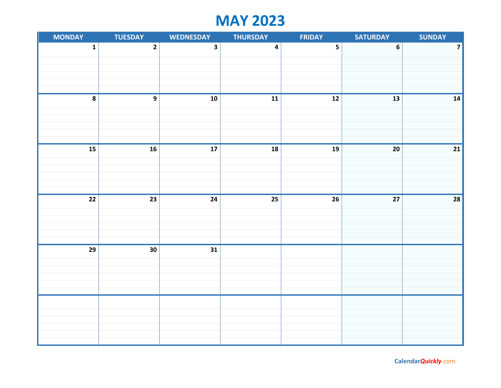# **MAY 2023**

| <b>MONDAY</b>   | <b>TUESDAY</b>   | <b>WEDNESDAY</b>        | <b>THURSDAY</b>          | <b>FRIDAY</b>           | <b>SATURDAY</b> | <b>SUNDAY</b>           |
|-----------------|------------------|-------------------------|--------------------------|-------------------------|-----------------|-------------------------|
| $\mathbf 1$     | $\overline{2}$   | $\overline{\mathbf{3}}$ | $\overline{\mathbf{4}}$  | $\overline{\mathbf{5}}$ | $\bf 6$         | $\overline{\mathbf{z}}$ |
|                 |                  |                         |                          |                         |                 |                         |
|                 |                  |                         |                          |                         |                 |                         |
|                 |                  |                         |                          |                         |                 |                         |
|                 |                  |                         |                          |                         |                 |                         |
| $\pmb{8}$       | $\boldsymbol{9}$ | ${\bf 10}$              | ${\bf 11}$               | $12$                    | 13              | 14                      |
|                 |                  |                         |                          |                         |                 |                         |
|                 |                  |                         |                          |                         |                 |                         |
|                 |                  |                         |                          |                         |                 |                         |
|                 |                  |                         |                          |                         |                 |                         |
| 15              | ${\bf 16}$       | ${\bf 17}$              | $\overline{\mathbf{18}}$ | ${\bf 19}$              | ${\bf 20}$      | $21$                    |
|                 |                  |                         |                          |                         |                 |                         |
|                 |                  |                         |                          |                         |                 |                         |
|                 |                  |                         |                          |                         |                 |                         |
|                 |                  |                         |                          |                         |                 |                         |
|                 |                  |                         |                          |                         |                 |                         |
| $\overline{22}$ | $\overline{23}$  | $24$                    | $\overline{25}$          | $\overline{26}$         | 27              | 28                      |
|                 |                  |                         |                          |                         |                 |                         |
|                 |                  |                         |                          |                         |                 |                         |
|                 |                  |                         |                          |                         |                 |                         |
|                 |                  |                         |                          |                         |                 |                         |
| 29              | $30\,$           | 31                      |                          |                         |                 |                         |
|                 |                  |                         |                          |                         |                 |                         |
|                 |                  |                         |                          |                         |                 |                         |
|                 |                  |                         |                          |                         |                 |                         |
|                 |                  |                         |                          |                         |                 |                         |
|                 |                  |                         |                          |                         |                 |                         |
|                 |                  |                         |                          |                         |                 |                         |
|                 |                  |                         |                          |                         |                 |                         |
|                 |                  |                         |                          |                         |                 |                         |
|                 |                  |                         |                          |                         |                 |                         |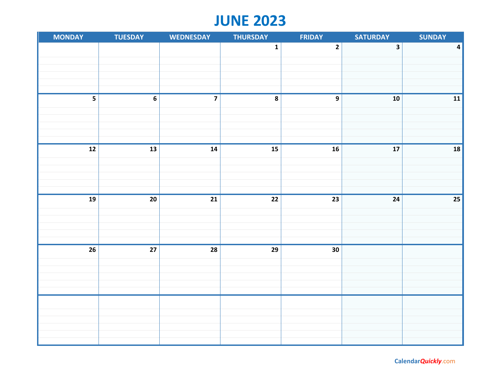# **JUNE 2023**

| <b>MONDAY</b>            | <b>TUESDAY</b> | <b>WEDNESDAY</b> | <b>THURSDAY</b>          | <b>FRIDAY</b>           | <b>SATURDAY</b>         | <b>SUNDAY</b>           |
|--------------------------|----------------|------------------|--------------------------|-------------------------|-------------------------|-------------------------|
|                          |                |                  | $\mathbf 1$              | $\overline{\mathbf{2}}$ | $\overline{\mathbf{3}}$ | $\overline{\mathbf{4}}$ |
|                          |                |                  |                          |                         |                         |                         |
|                          |                |                  |                          |                         |                         |                         |
|                          |                |                  |                          |                         |                         |                         |
|                          |                |                  |                          |                         |                         |                         |
|                          | $\bf 6$        | $\overline{7}$   | 8                        | $\boldsymbol{9}$        | ${\bf 10}$              | ${\bf 11}$              |
|                          |                |                  |                          |                         |                         |                         |
|                          |                |                  |                          |                         |                         |                         |
|                          |                |                  |                          |                         |                         |                         |
|                          |                |                  |                          |                         |                         |                         |
| $\overline{\mathbf{12}}$ | ${\bf 13}$     | ${\bf 14}$       | $\overline{\mathbf{15}}$ | ${\bf 16}$              | 17                      | 18                      |
|                          |                |                  |                          |                         |                         |                         |
|                          |                |                  |                          |                         |                         |                         |
|                          |                |                  |                          |                         |                         |                         |
|                          |                |                  |                          |                         |                         |                         |
| $\overline{19}$          | ${\bf 20}$     | $\overline{21}$  | $\overline{22}$          | $\overline{23}$         | 24                      | $\overline{25}$         |
|                          |                |                  |                          |                         |                         |                         |
|                          |                |                  |                          |                         |                         |                         |
|                          |                |                  |                          |                         |                         |                         |
|                          |                |                  |                          |                         |                         |                         |
| $\overline{26}$          | $27\,$         | 28               | 29                       | 30                      |                         |                         |
|                          |                |                  |                          |                         |                         |                         |
|                          |                |                  |                          |                         |                         |                         |
|                          |                |                  |                          |                         |                         |                         |
|                          |                |                  |                          |                         |                         |                         |
|                          |                |                  |                          |                         |                         |                         |
|                          |                |                  |                          |                         |                         |                         |
|                          |                |                  |                          |                         |                         |                         |
|                          |                |                  |                          |                         |                         |                         |
|                          |                |                  |                          |                         |                         |                         |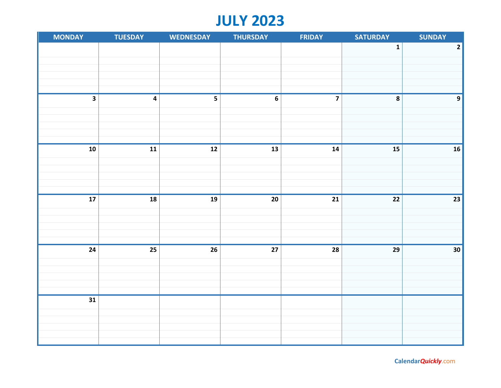# **JULY 2023**

| <b>MONDAY</b>           | <b>TUESDAY</b>          | <b>WEDNESDAY</b> | <b>THURSDAY</b> | <b>FRIDAY</b> | <b>SATURDAY</b> | <b>SUNDAY</b>   |
|-------------------------|-------------------------|------------------|-----------------|---------------|-----------------|-----------------|
|                         |                         |                  |                 |               | $\mathbf 1$     | $\mathbf 2$     |
|                         |                         |                  |                 |               |                 |                 |
|                         |                         |                  |                 |               |                 |                 |
|                         |                         |                  |                 |               |                 |                 |
|                         |                         |                  |                 |               |                 |                 |
| $\overline{\mathbf{3}}$ | $\overline{\mathbf{4}}$ | 5                | $\bf 6$         |               | 8               | $\mathbf{9}$    |
|                         |                         |                  |                 |               |                 |                 |
|                         |                         |                  |                 |               |                 |                 |
|                         |                         |                  |                 |               |                 |                 |
|                         |                         |                  |                 |               |                 |                 |
| ${\bf 10}$              | ${\bf 11}$              | ${\bf 12}$       | ${\bf 13}$      | 14            | ${\bf 15}$      | 16              |
|                         |                         |                  |                 |               |                 |                 |
|                         |                         |                  |                 |               |                 |                 |
|                         |                         |                  |                 |               |                 |                 |
|                         |                         |                  |                 |               |                 |                 |
| ${\bf 17}$              | 18                      | 19               | ${\bf 20}$      | 21            | 22              | $\overline{23}$ |
|                         |                         |                  |                 |               |                 |                 |
|                         |                         |                  |                 |               |                 |                 |
|                         |                         |                  |                 |               |                 |                 |
| $\overline{24}$         | $\overline{25}$         | 26               | $\bf 27$        | 28            | 29              | 30              |
|                         |                         |                  |                 |               |                 |                 |
|                         |                         |                  |                 |               |                 |                 |
|                         |                         |                  |                 |               |                 |                 |
|                         |                         |                  |                 |               |                 |                 |
| $\overline{31}$         |                         |                  |                 |               |                 |                 |
|                         |                         |                  |                 |               |                 |                 |
|                         |                         |                  |                 |               |                 |                 |
|                         |                         |                  |                 |               |                 |                 |
|                         |                         |                  |                 |               |                 |                 |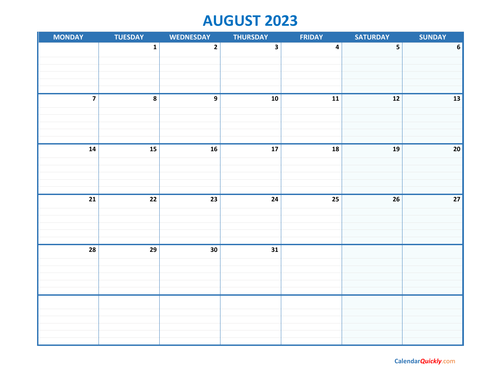# **AUGUST 2023**

| <b>MONDAY</b>   | <b>TUESDAY</b>          | <b>WEDNESDAY</b> | <b>THURSDAY</b>         | <b>FRIDAY</b>           | <b>SATURDAY</b>          | <b>SUNDAY</b>            |
|-----------------|-------------------------|------------------|-------------------------|-------------------------|--------------------------|--------------------------|
|                 | $\mathbf 1$             | $\overline{2}$   | $\overline{\mathbf{3}}$ | $\overline{\mathbf{4}}$ | 5                        | $\boldsymbol{6}$         |
|                 |                         |                  |                         |                         |                          |                          |
|                 |                         |                  |                         |                         |                          |                          |
|                 |                         |                  |                         |                         |                          |                          |
| $\overline{7}$  | $\overline{\mathbf{8}}$ | $\overline{9}$   | $\overline{10}$         |                         | $\overline{\mathbf{12}}$ |                          |
|                 |                         |                  |                         | $11$                    |                          | $\overline{\mathbf{13}}$ |
|                 |                         |                  |                         |                         |                          |                          |
|                 |                         |                  |                         |                         |                          |                          |
|                 |                         |                  |                         |                         |                          |                          |
| ${\bf 14}$      | $\frac{15}{15}$         | $\overline{16}$  | ${\bf 17}$              | 18                      | ${\bf 19}$               | 20                       |
|                 |                         |                  |                         |                         |                          |                          |
|                 |                         |                  |                         |                         |                          |                          |
|                 |                         |                  |                         |                         |                          |                          |
| $\overline{21}$ | $\overline{22}$         | $\overline{23}$  | $\overline{24}$         | $\overline{25}$         | 26                       | $\overline{27}$          |
|                 |                         |                  |                         |                         |                          |                          |
|                 |                         |                  |                         |                         |                          |                          |
|                 |                         |                  |                         |                         |                          |                          |
|                 |                         |                  |                         |                         |                          |                          |
| $\overline{28}$ | $\overline{29}$         | $\overline{30}$  | $\overline{31}$         |                         |                          |                          |
|                 |                         |                  |                         |                         |                          |                          |
|                 |                         |                  |                         |                         |                          |                          |
|                 |                         |                  |                         |                         |                          |                          |
|                 |                         |                  |                         |                         |                          |                          |
|                 |                         |                  |                         |                         |                          |                          |
|                 |                         |                  |                         |                         |                          |                          |
|                 |                         |                  |                         |                         |                          |                          |
|                 |                         |                  |                         |                         |                          |                          |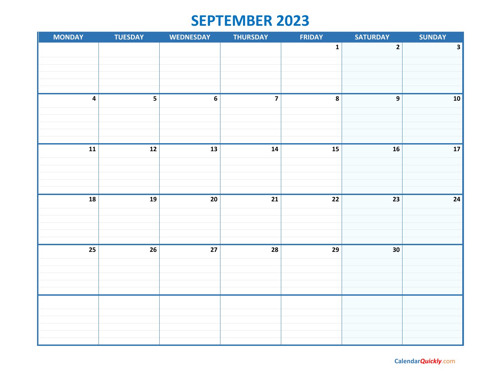## **SEPTEMBER 2023**

| <b>MONDAY</b>            | <b>TUESDAY</b>  | <b>WEDNESDAY</b> | <b>THURSDAY</b>         | FRIDAY      | <b>SATURDAY</b>  | <b>SUNDAY</b> |
|--------------------------|-----------------|------------------|-------------------------|-------------|------------------|---------------|
|                          |                 |                  |                         | $\mathbf 1$ | $\mathbf{2}$     | $\mathbf{3}$  |
|                          |                 |                  |                         |             |                  |               |
|                          |                 |                  |                         |             |                  |               |
|                          |                 |                  |                         |             |                  |               |
|                          |                 |                  |                         |             |                  |               |
| $\overline{\mathbf{4}}$  | 5               | $\boldsymbol{6}$ | $\overline{\mathbf{z}}$ | $\pmb{8}$   | $\boldsymbol{9}$ | 10            |
|                          |                 |                  |                         |             |                  |               |
|                          |                 |                  |                         |             |                  |               |
|                          |                 |                  |                         |             |                  |               |
|                          |                 |                  |                         |             |                  |               |
| ${\bf 11}$               | ${\bf 12}$      | ${\bf 13}$       | $14$                    | 15          | ${\bf 16}$       | ${\bf 17}$    |
|                          |                 |                  |                         |             |                  |               |
|                          |                 |                  |                         |             |                  |               |
|                          |                 |                  |                         |             |                  |               |
|                          |                 |                  |                         |             |                  |               |
| $\overline{\mathbf{18}}$ | ${\bf 19}$      | ${\bf 20}$       | ${\bf 21}$              | 22          | 23               | ${\bf 24}$    |
|                          |                 |                  |                         |             |                  |               |
|                          |                 |                  |                         |             |                  |               |
|                          |                 |                  |                         |             |                  |               |
|                          |                 |                  |                         |             |                  |               |
| $\overline{25}$          | $\overline{26}$ | $\overline{27}$  | $\overline{28}$         | 29          | 30               |               |
|                          |                 |                  |                         |             |                  |               |
|                          |                 |                  |                         |             |                  |               |
|                          |                 |                  |                         |             |                  |               |
|                          |                 |                  |                         |             |                  |               |
|                          |                 |                  |                         |             |                  |               |
|                          |                 |                  |                         |             |                  |               |
|                          |                 |                  |                         |             |                  |               |
|                          |                 |                  |                         |             |                  |               |
|                          |                 |                  |                         |             |                  |               |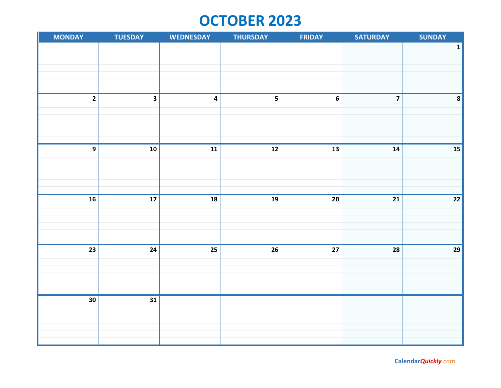# **OCTOBER 2023**

| <b>MONDAY</b>   | <b>TUESDAY</b>           | <b>WEDNESDAY</b>        | <b>THURSDAY</b>          | <b>FRIDAY</b>    | <b>SATURDAY</b>         | <b>SUNDAY</b>   |
|-----------------|--------------------------|-------------------------|--------------------------|------------------|-------------------------|-----------------|
|                 |                          |                         |                          |                  |                         | $\mathbf 1$     |
|                 |                          |                         |                          |                  |                         |                 |
|                 |                          |                         |                          |                  |                         |                 |
|                 |                          |                         |                          |                  |                         |                 |
|                 |                          |                         |                          |                  |                         |                 |
| $\overline{2}$  | $\overline{\mathbf{3}}$  | $\overline{\mathbf{4}}$ | 5                        | $\boldsymbol{6}$ | $\overline{\mathbf{z}}$ | $\pmb{8}$       |
|                 |                          |                         |                          |                  |                         |                 |
|                 |                          |                         |                          |                  |                         |                 |
|                 |                          |                         |                          |                  |                         |                 |
|                 |                          |                         |                          |                  |                         |                 |
| $\overline{9}$  | ${\bf 10}$               | 11                      | $\overline{\mathbf{12}}$ | 13               | 14                      | ${\bf 15}$      |
|                 |                          |                         |                          |                  |                         |                 |
|                 |                          |                         |                          |                  |                         |                 |
|                 |                          |                         |                          |                  |                         |                 |
|                 |                          |                         |                          |                  |                         |                 |
| $\overline{16}$ | $\overline{\mathbf{17}}$ | 18                      | 19                       | 20               | 21                      | $22$            |
|                 |                          |                         |                          |                  |                         |                 |
|                 |                          |                         |                          |                  |                         |                 |
|                 |                          |                         |                          |                  |                         |                 |
| $\overline{23}$ | $\overline{24}$          | $\overline{25}$         | $\overline{26}$          | $\overline{27}$  | 28                      | $\overline{29}$ |
|                 |                          |                         |                          |                  |                         |                 |
|                 |                          |                         |                          |                  |                         |                 |
|                 |                          |                         |                          |                  |                         |                 |
|                 |                          |                         |                          |                  |                         |                 |
| 30              | $\overline{31}$          |                         |                          |                  |                         |                 |
|                 |                          |                         |                          |                  |                         |                 |
|                 |                          |                         |                          |                  |                         |                 |
|                 |                          |                         |                          |                  |                         |                 |
|                 |                          |                         |                          |                  |                         |                 |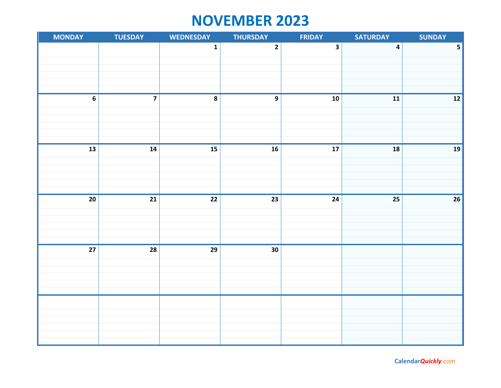# **NOVEMBER 2023**

| <b>MONDAY</b>            | <b>TUESDAY</b>          | <b>WEDNESDAY</b>         | <b>THURSDAY</b>          | <b>FRIDAY</b>            | <b>SATURDAY</b>         | <b>SUNDAY</b>           |
|--------------------------|-------------------------|--------------------------|--------------------------|--------------------------|-------------------------|-------------------------|
|                          |                         | $\mathbf 1$              | $\mathbf{2}$             | $\overline{\mathbf{3}}$  | $\overline{\mathbf{4}}$ | $\overline{\mathbf{5}}$ |
|                          |                         |                          |                          |                          |                         |                         |
|                          |                         |                          |                          |                          |                         |                         |
|                          |                         |                          |                          |                          |                         |                         |
|                          |                         |                          |                          |                          |                         |                         |
| $\overline{6}$           | $\overline{\mathbf{z}}$ | $\pmb{8}$                | $\overline{9}$           | ${\bf 10}$               | ${\bf 11}$              | $\overline{12}$         |
|                          |                         |                          |                          |                          |                         |                         |
|                          |                         |                          |                          |                          |                         |                         |
|                          |                         |                          |                          |                          |                         |                         |
| $\overline{\mathbf{13}}$ | $\overline{14}$         | $\overline{\mathbf{15}}$ | $\overline{\mathbf{16}}$ | $\overline{\mathbf{17}}$ | ${\bf 18}$              | ${\bf 19}$              |
|                          |                         |                          |                          |                          |                         |                         |
|                          |                         |                          |                          |                          |                         |                         |
|                          |                         |                          |                          |                          |                         |                         |
|                          |                         |                          |                          |                          |                         |                         |
| $\overline{20}$          | $21$                    | $22$                     | 23                       | 24                       | 25                      | $\overline{26}$         |
|                          |                         |                          |                          |                          |                         |                         |
|                          |                         |                          |                          |                          |                         |                         |
|                          |                         |                          |                          |                          |                         |                         |
| $\overline{27}$          | $\overline{28}$         | $\overline{29}$          | $\overline{30}$          |                          |                         |                         |
|                          |                         |                          |                          |                          |                         |                         |
|                          |                         |                          |                          |                          |                         |                         |
|                          |                         |                          |                          |                          |                         |                         |
|                          |                         |                          |                          |                          |                         |                         |
|                          |                         |                          |                          |                          |                         |                         |
|                          |                         |                          |                          |                          |                         |                         |
|                          |                         |                          |                          |                          |                         |                         |
|                          |                         |                          |                          |                          |                         |                         |
|                          |                         |                          |                          |                          |                         |                         |